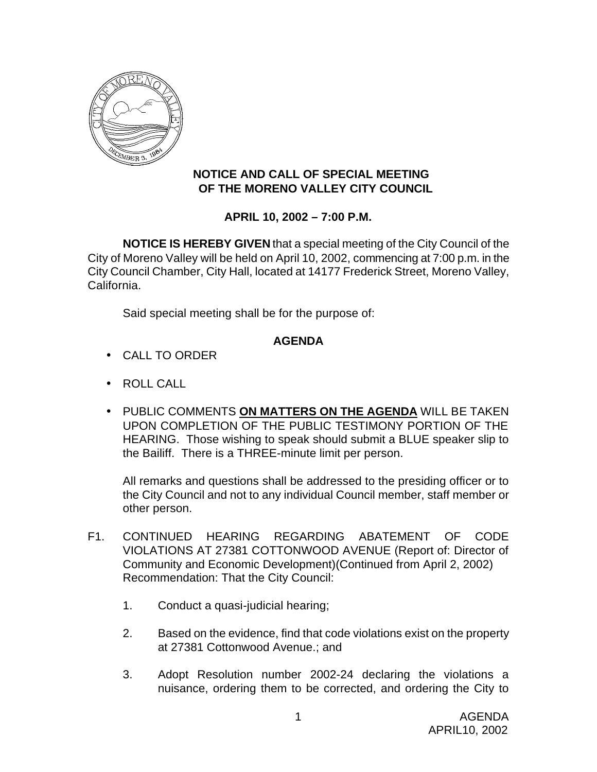

## **NOTICE AND CALL OF SPECIAL MEETING OF THE MORENO VALLEY CITY COUNCIL**

## **APRIL 10, 2002 – 7:00 P.M.**

**NOTICE IS HEREBY GIVEN** that a special meeting of the City Council of the City of Moreno Valley will be held on April 10, 2002, commencing at 7:00 p.m. in the City Council Chamber, City Hall, located at 14177 Frederick Street, Moreno Valley, California.

Said special meeting shall be for the purpose of:

## **AGENDA**

- CALL TO ORDER
- ROLL CALL
- PUBLIC COMMENTS **ON MATTERS ON THE AGENDA** WILL BE TAKEN UPON COMPLETION OF THE PUBLIC TESTIMONY PORTION OF THE HEARING. Those wishing to speak should submit a BLUE speaker slip to the Bailiff. There is a THREE-minute limit per person.

All remarks and questions shall be addressed to the presiding officer or to the City Council and not to any individual Council member, staff member or other person.

- F1. CONTINUED HEARING REGARDING ABATEMENT OF CODE VIOLATIONS AT 27381 COTTONWOOD AVENUE (Report of: Director of Community and Economic Development)(Continued from April 2, 2002) Recommendation: That the City Council:
	- 1. Conduct a quasi-judicial hearing;
	- 2. Based on the evidence, find that code violations exist on the property at 27381 Cottonwood Avenue.; and
	- 3. Adopt Resolution number 2002-24 declaring the violations a nuisance, ordering them to be corrected, and ordering the City to